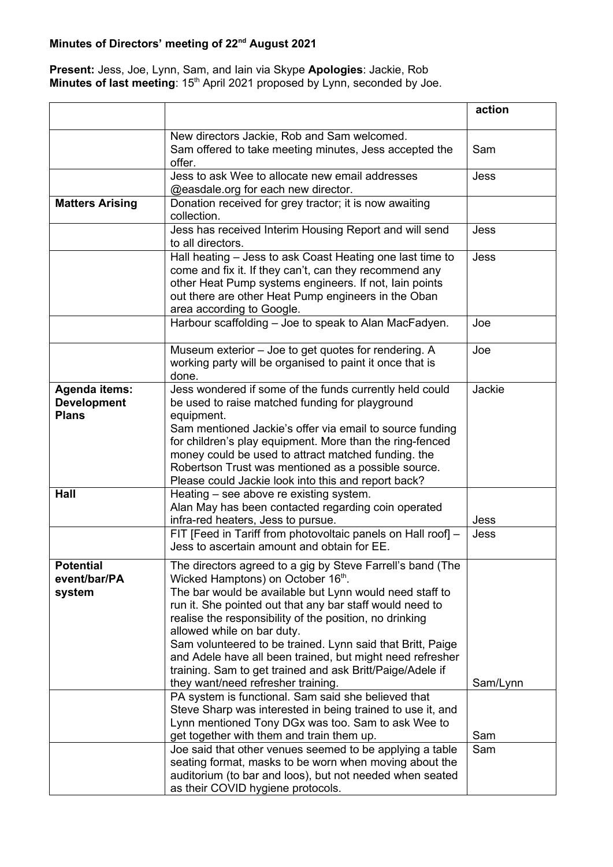## **Minutes of Directors' meeting of 22nd August 2021**

## **Present:** Jess, Joe, Lynn, Sam, and Iain via Skype **Apologies**: Jackie, Rob **Minutes of last meeting**: 15<sup>th</sup> April 2021 proposed by Lynn, seconded by Joe.

|                                                            |                                                                                                                                                                                                                                                                                                                                                                                                                                                                                                                                               | action      |
|------------------------------------------------------------|-----------------------------------------------------------------------------------------------------------------------------------------------------------------------------------------------------------------------------------------------------------------------------------------------------------------------------------------------------------------------------------------------------------------------------------------------------------------------------------------------------------------------------------------------|-------------|
|                                                            | New directors Jackie, Rob and Sam welcomed.<br>Sam offered to take meeting minutes, Jess accepted the<br>offer.                                                                                                                                                                                                                                                                                                                                                                                                                               | Sam         |
|                                                            | Jess to ask Wee to allocate new email addresses<br>@easdale.org for each new director.                                                                                                                                                                                                                                                                                                                                                                                                                                                        | <b>Jess</b> |
| <b>Matters Arising</b>                                     | Donation received for grey tractor; it is now awaiting<br>collection.                                                                                                                                                                                                                                                                                                                                                                                                                                                                         |             |
|                                                            | Jess has received Interim Housing Report and will send<br>to all directors.                                                                                                                                                                                                                                                                                                                                                                                                                                                                   | Jess        |
|                                                            | Hall heating - Jess to ask Coast Heating one last time to<br>come and fix it. If they can't, can they recommend any<br>other Heat Pump systems engineers. If not, lain points<br>out there are other Heat Pump engineers in the Oban<br>area according to Google.                                                                                                                                                                                                                                                                             | Jess        |
|                                                            | Harbour scaffolding - Joe to speak to Alan MacFadyen.                                                                                                                                                                                                                                                                                                                                                                                                                                                                                         | Joe         |
|                                                            | Museum exterior - Joe to get quotes for rendering. A<br>working party will be organised to paint it once that is<br>done.                                                                                                                                                                                                                                                                                                                                                                                                                     | Joe         |
| <b>Agenda items:</b><br><b>Development</b><br><b>Plans</b> | Jess wondered if some of the funds currently held could<br>be used to raise matched funding for playground<br>equipment.<br>Sam mentioned Jackie's offer via email to source funding<br>for children's play equipment. More than the ring-fenced<br>money could be used to attract matched funding. the<br>Robertson Trust was mentioned as a possible source.<br>Please could Jackie look into this and report back?                                                                                                                         | Jackie      |
| Hall                                                       | Heating - see above re existing system.<br>Alan May has been contacted regarding coin operated<br>infra-red heaters, Jess to pursue.                                                                                                                                                                                                                                                                                                                                                                                                          | Jess        |
|                                                            | FIT [Feed in Tariff from photovoltaic panels on Hall roof] -<br>Jess to ascertain amount and obtain for EE.                                                                                                                                                                                                                                                                                                                                                                                                                                   | Jess        |
| <b>Potential</b><br>event/bar/PA<br>system                 | The directors agreed to a gig by Steve Farrell's band (The<br>Wicked Hamptons) on October 16th.<br>The bar would be available but Lynn would need staff to<br>run it. She pointed out that any bar staff would need to<br>realise the responsibility of the position, no drinking<br>allowed while on bar duty.<br>Sam volunteered to be trained. Lynn said that Britt, Paige<br>and Adele have all been trained, but might need refresher<br>training. Sam to get trained and ask Britt/Paige/Adele if<br>they want/need refresher training. | Sam/Lynn    |
|                                                            | PA system is functional. Sam said she believed that<br>Steve Sharp was interested in being trained to use it, and<br>Lynn mentioned Tony DGx was too. Sam to ask Wee to<br>get together with them and train them up.                                                                                                                                                                                                                                                                                                                          | Sam         |
|                                                            | Joe said that other venues seemed to be applying a table<br>seating format, masks to be worn when moving about the<br>auditorium (to bar and loos), but not needed when seated<br>as their COVID hygiene protocols.                                                                                                                                                                                                                                                                                                                           | Sam         |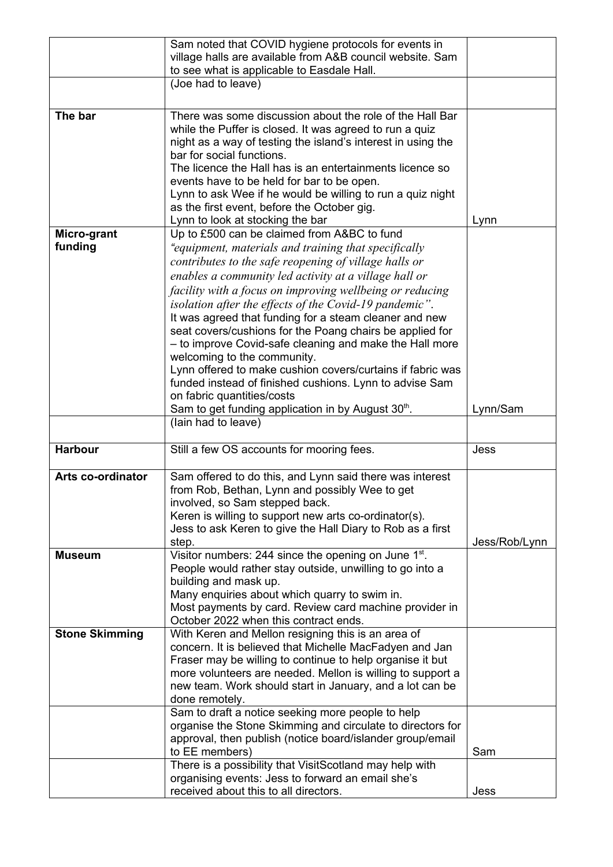|                       | Sam noted that COVID hygiene protocols for events in                                                                   |               |
|-----------------------|------------------------------------------------------------------------------------------------------------------------|---------------|
|                       | village halls are available from A&B council website. Sam                                                              |               |
|                       | to see what is applicable to Easdale Hall.                                                                             |               |
|                       | (Joe had to leave)                                                                                                     |               |
|                       |                                                                                                                        |               |
| The bar               | There was some discussion about the role of the Hall Bar                                                               |               |
|                       | while the Puffer is closed. It was agreed to run a quiz                                                                |               |
|                       | night as a way of testing the island's interest in using the                                                           |               |
|                       | bar for social functions.                                                                                              |               |
|                       | The licence the Hall has is an entertainments licence so                                                               |               |
|                       | events have to be held for bar to be open.                                                                             |               |
|                       | Lynn to ask Wee if he would be willing to run a quiz night                                                             |               |
|                       | as the first event, before the October gig.                                                                            |               |
|                       | Lynn to look at stocking the bar                                                                                       | Lynn          |
| Micro-grant           | Up to £500 can be claimed from A&BC to fund                                                                            |               |
| funding               | equipment, materials and training that specifically "                                                                  |               |
|                       | contributes to the safe reopening of village halls or                                                                  |               |
|                       | enables a community led activity at a village hall or                                                                  |               |
|                       | facility with a focus on improving wellbeing or reducing                                                               |               |
|                       | isolation after the effects of the Covid-19 pandemic".                                                                 |               |
|                       | It was agreed that funding for a steam cleaner and new                                                                 |               |
|                       | seat covers/cushions for the Poang chairs be applied for                                                               |               |
|                       | - to improve Covid-safe cleaning and make the Hall more                                                                |               |
|                       | welcoming to the community.                                                                                            |               |
|                       | Lynn offered to make cushion covers/curtains if fabric was                                                             |               |
|                       | funded instead of finished cushions. Lynn to advise Sam                                                                |               |
|                       | on fabric quantities/costs                                                                                             |               |
|                       | Sam to get funding application in by August 30 <sup>th</sup> .                                                         | Lynn/Sam      |
|                       | (lain had to leave)                                                                                                    |               |
|                       |                                                                                                                        |               |
| <b>Harbour</b>        | Still a few OS accounts for mooring fees.                                                                              | Jess          |
| Arts co-ordinator     | Sam offered to do this, and Lynn said there was interest                                                               |               |
|                       | from Rob, Bethan, Lynn and possibly Wee to get                                                                         |               |
|                       | involved, so Sam stepped back.                                                                                         |               |
|                       | Keren is willing to support new arts co-ordinator(s).                                                                  |               |
|                       | Jess to ask Keren to give the Hall Diary to Rob as a first                                                             |               |
|                       | step.                                                                                                                  | Jess/Rob/Lynn |
| <b>Museum</b>         | Visitor numbers: 244 since the opening on June 1 <sup>st</sup> .                                                       |               |
|                       | People would rather stay outside, unwilling to go into a                                                               |               |
|                       | building and mask up.                                                                                                  |               |
|                       | Many enquiries about which quarry to swim in.                                                                          |               |
|                       | Most payments by card. Review card machine provider in                                                                 |               |
|                       | October 2022 when this contract ends.                                                                                  |               |
| <b>Stone Skimming</b> | With Keren and Mellon resigning this is an area of                                                                     |               |
|                       | concern. It is believed that Michelle MacFadyen and Jan                                                                |               |
|                       | Fraser may be willing to continue to help organise it but                                                              |               |
|                       | more volunteers are needed. Mellon is willing to support a<br>new team. Work should start in January, and a lot can be |               |
|                       | done remotely.                                                                                                         |               |
|                       | Sam to draft a notice seeking more people to help                                                                      |               |
|                       | organise the Stone Skimming and circulate to directors for                                                             |               |
|                       | approval, then publish (notice board/islander group/email                                                              |               |
|                       | to EE members)                                                                                                         | Sam           |
|                       | There is a possibility that VisitScotland may help with                                                                |               |
|                       | organising events: Jess to forward an email she's                                                                      |               |
|                       | received about this to all directors.                                                                                  | Jess          |